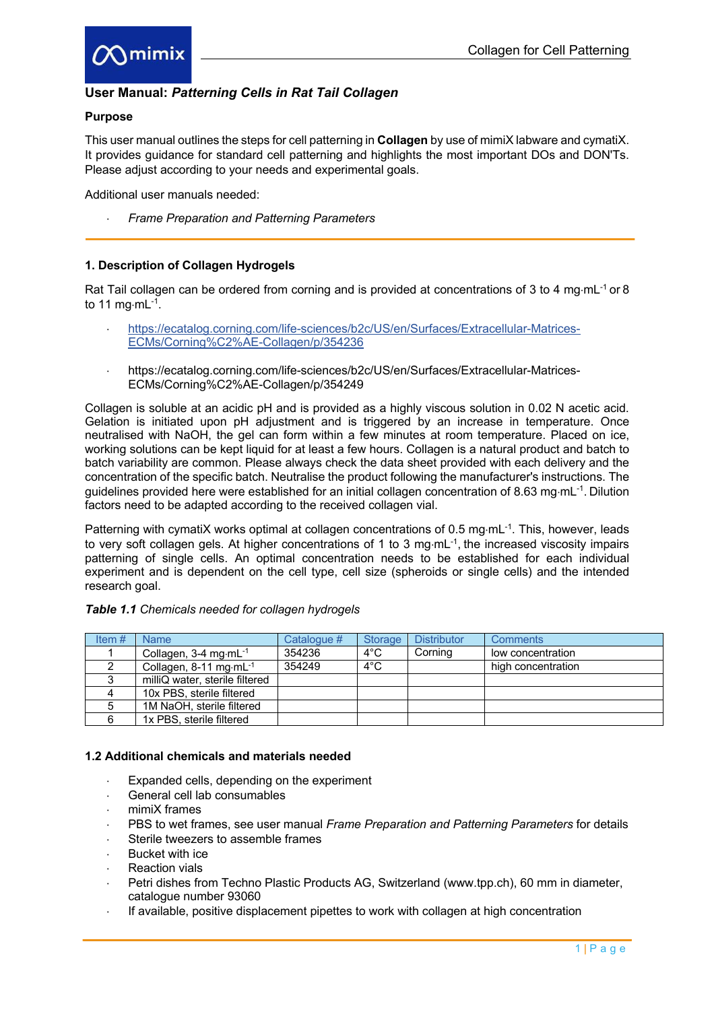

# **User Manual:** *Patterning Cells in Rat Tail Collagen*

#### **Purpose**

This user manual outlines the steps for cell patterning in **Collagen** by use of mimiX labware and cymatiX. It provides guidance for standard cell patterning and highlights the most important DOs and DON'Ts. Please adjust according to your needs and experimental goals.

Additional user manuals needed:

× *Frame Preparation and Patterning Parameters*

## **1. Description of Collagen Hydrogels**

Rat Tail collagen can be ordered from corning and is provided at concentrations of 3 to 4 mg·mL $<sup>-1</sup>$  or 8</sup> to 11 mg $\cdot$ mL $^{-1}$ .

- × https://ecatalog.corning.com/life-sciences/b2c/US/en/Surfaces/Extracellular-Matrices-ECMs/Corning%C2%AE-Collagen/p/354236
- × https://ecatalog.corning.com/life-sciences/b2c/US/en/Surfaces/Extracellular-Matrices-ECMs/Corning%C2%AE-Collagen/p/354249

Collagen is soluble at an acidic pH and is provided as a highly viscous solution in 0.02 N acetic acid. Gelation is initiated upon pH adjustment and is triggered by an increase in temperature. Once neutralised with NaOH, the gel can form within a few minutes at room temperature. Placed on ice, working solutions can be kept liquid for at least a few hours. Collagen is a natural product and batch to batch variability are common. Please always check the data sheet provided with each delivery and the concentration of the specific batch. Neutralise the product following the manufacturer's instructions. The guidelines provided here were established for an initial collagen concentration of 8.63 mg·mL<sup>-1</sup>. Dilution factors need to be adapted according to the received collagen vial.

Patterning with cymatiX works optimal at collagen concentrations of 0.5 mg·mL<sup>-1</sup>. This, however, leads to very soft collagen gels. At higher concentrations of 1 to 3 mg·mL<sup>-1</sup>, the increased viscosity impairs patterning of single cells. An optimal concentration needs to be established for each individual experiment and is dependent on the cell type, cell size (spheroids or single cells) and the intended research goal.

| Item $#$ | <b>Name</b>                           | Catalogue # | Storage       | <b>Distributor</b> | <b>Comments</b>    |
|----------|---------------------------------------|-------------|---------------|--------------------|--------------------|
|          | Collagen, $3-4$ mg $\cdot$ mL $^{-1}$ | 354236      | $4^{\circ}$ C | Corning            | low concentration  |
|          | Collagen, 8-11 mg·mL <sup>-1</sup>    | 354249      | $4^{\circ}$ C |                    | high concentration |
|          | milliQ water, sterile filtered        |             |               |                    |                    |
|          | 10x PBS, sterile filtered             |             |               |                    |                    |
| 5        | 1M NaOH, sterile filtered             |             |               |                    |                    |
|          | 1x PBS, sterile filtered              |             |               |                    |                    |

#### *Table 1.1 Chemicals needed for collagen hydrogels*

## **1.2 Additional chemicals and materials needed**

- Expanded cells, depending on the experiment
- General cell lab consumables
- mimiX frames
- PBS to wet frames, see user manual *Frame Preparation and Patterning Parameters* for details
- Sterile tweezers to assemble frames
- Bucket with ice
- **Reaction vials**
- Petri dishes from Techno Plastic Products AG, Switzerland (www.tpp.ch), 60 mm in diameter, catalogue number 93060
- If available, positive displacement pipettes to work with collagen at high concentration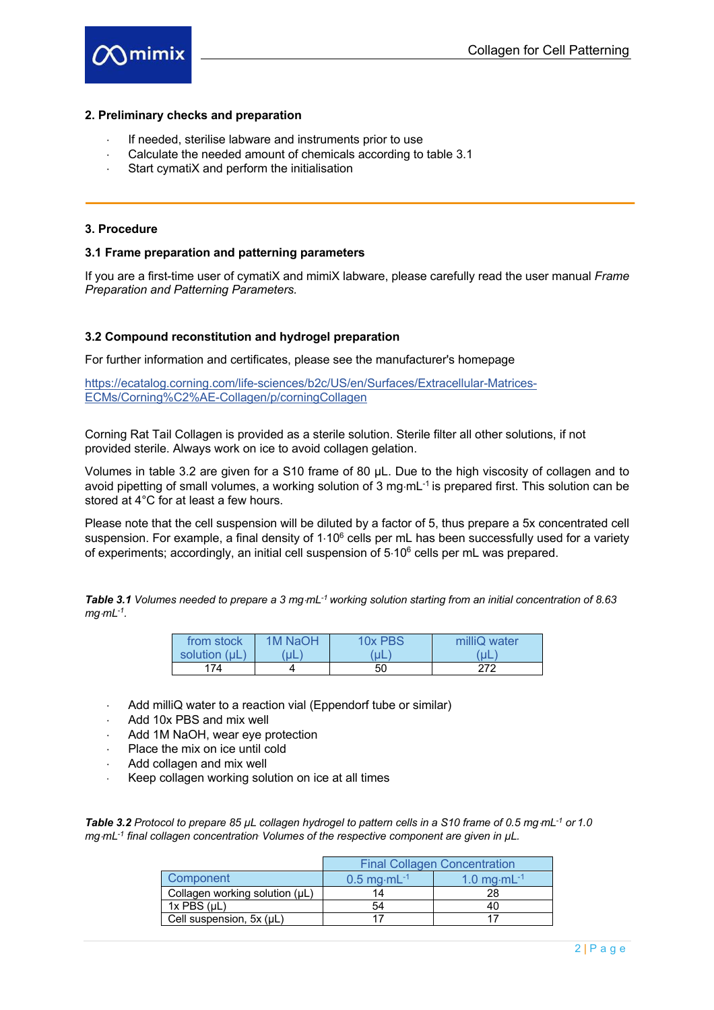

## **2. Preliminary checks and preparation**

- If needed, sterilise labware and instruments prior to use
- Calculate the needed amount of chemicals according to table 3.1
- Start cymatiX and perform the initialisation

## **3. Procedure**

#### **3.1 Frame preparation and patterning parameters**

If you are a first-time user of cymatiX and mimiX labware, please carefully read the user manual *Frame Preparation and Patterning Parameters.* 

#### **3.2 Compound reconstitution and hydrogel preparation**

For further information and certificates, please see the manufacturer's homepage

https://ecatalog.corning.com/life-sciences/b2c/US/en/Surfaces/Extracellular-Matrices-ECMs/Corning%C2%AE-Collagen/p/corningCollagen

Corning Rat Tail Collagen is provided as a sterile solution. Sterile filter all other solutions, if not provided sterile. Always work on ice to avoid collagen gelation.

Volumes in table 3.2 are given for a S10 frame of 80 µL. Due to the high viscosity of collagen and to avoid pipetting of small volumes, a working solution of 3 mg $\cdot$ mL $^{-1}$  is prepared first. This solution can be stored at 4°C for at least a few hours.

Please note that the cell suspension will be diluted by a factor of 5, thus prepare a 5x concentrated cell suspension. For example, a final density of  $1.10^6$  cells per mL has been successfully used for a variety of experiments; accordingly, an initial cell suspension of  $5.10^6$  cells per mL was prepared.

**Table 3.1** *Volumes needed to prepare a 3 mg·mL<sup>-1</sup> working solution starting from an initial concentration of 8.63*  $mq·mL^{-1}$ .

| from stock    | 1M NaOH | 10x PBS | milliQ water |
|---------------|---------|---------|--------------|
| solution (uL) | uL      | uL      | 'uL          |
| 174           |         | 50      | 272          |

- Add milliQ water to a reaction vial (Eppendorf tube or similar)
- Add 10x PBS and mix well
- Add 1M NaOH, wear eye protection
- $\cdot$  Place the mix on ice until cold
- Add collagen and mix well
- Keep collagen working solution on ice at all times

**Table 3.2** Protocol to prepare 85 µL collagen *hydrogel to pattern cells in a S10 frame of 0.5 mg·mL<sup>-1</sup> or 1.0 mg*·*mL<sup>-1</sup> final collagen concentration. Volumes of the respective component are given in*  $\mu$ *L.* 

|                                | <b>Final Collagen Concentration</b> |                           |  |
|--------------------------------|-------------------------------------|---------------------------|--|
| Component                      | $0.5$ mg $\cdot$ mL $^{-1}$         | 1.0 mg $\cdot$ mL $^{-1}$ |  |
| Collagen working solution (µL) | 14                                  | 28                        |  |
| $1x$ PBS $(\mu L)$             | 54                                  |                           |  |
| Cell suspension, 5x (µL)       |                                     |                           |  |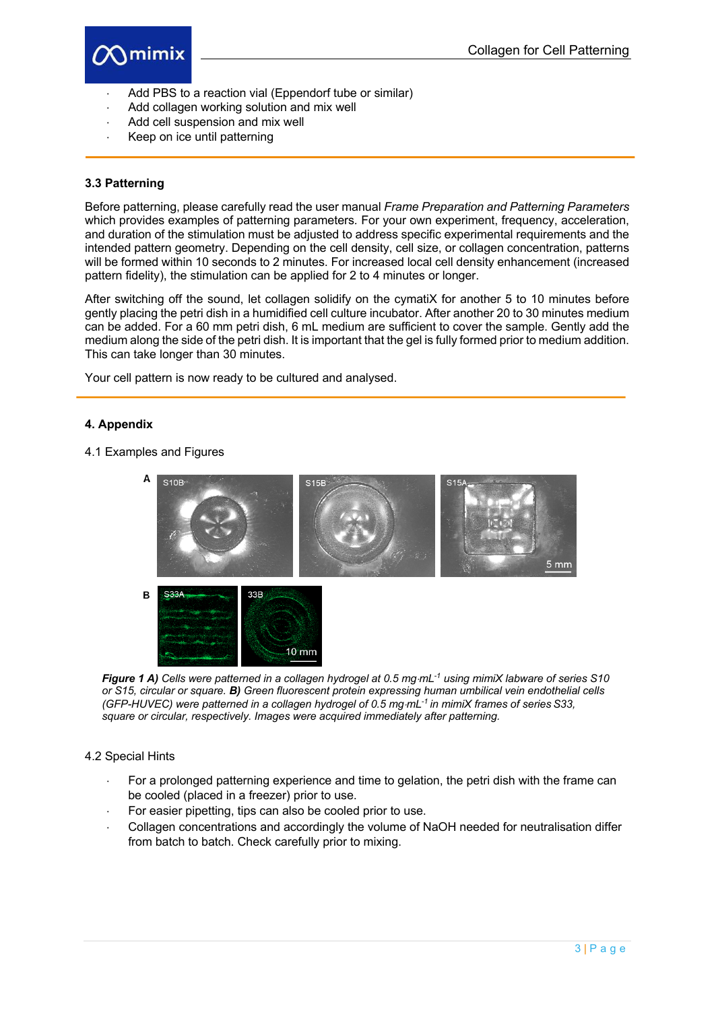

- Add PBS to a reaction vial (Eppendorf tube or similar)
- Add collagen working solution and mix well
- Add cell suspension and mix well
- Keep on ice until patterning

#### **3.3 Patterning**

Before patterning, please carefully read the user manual *Frame Preparation and Patterning Parameters* which provides examples of patterning parameters*.* For your own experiment, frequency, acceleration, and duration of the stimulation must be adjusted to address specific experimental requirements and the intended pattern geometry. Depending on the cell density, cell size, or collagen concentration, patterns will be formed within 10 seconds to 2 minutes. For increased local cell density enhancement (increased pattern fidelity), the stimulation can be applied for 2 to 4 minutes or longer.

After switching off the sound, let collagen solidify on the cymatiX for another 5 to 10 minutes before gently placing the petri dish in a humidified cell culture incubator. After another 20 to 30 minutes medium can be added. For a 60 mm petri dish, 6 mL medium are sufficient to cover the sample. Gently add the medium along the side of the petri dish. It is important that the gel is fully formed prior to medium addition. This can take longer than 30 minutes.

Your cell pattern is now ready to be cultured and analysed.

#### **4. Appendix**

#### 4.1 Examples and Figures



*Figure 1 A) Cells were patterned in a collagen hydrogel at 0.5 mg·mL<sup>-1</sup> using mimiX labware of series S10 or S15, circular or square. B) Green fluorescent protein expressing human umbilical vein endothelial cells (GFP-HUVEC) were patterned in a collagen hydrogel of 0.5 mg·mL<sup>-1</sup> in mimiX frames of series S33. square or circular, respectively. Images were acquired immediately after patterning.* 

#### 4.2 Special Hints

- For a prolonged patterning experience and time to gelation, the petri dish with the frame can be cooled (placed in a freezer) prior to use.
- For easier pipetting, tips can also be cooled prior to use.
- Collagen concentrations and accordingly the volume of NaOH needed for neutralisation differ from batch to batch. Check carefully prior to mixing.